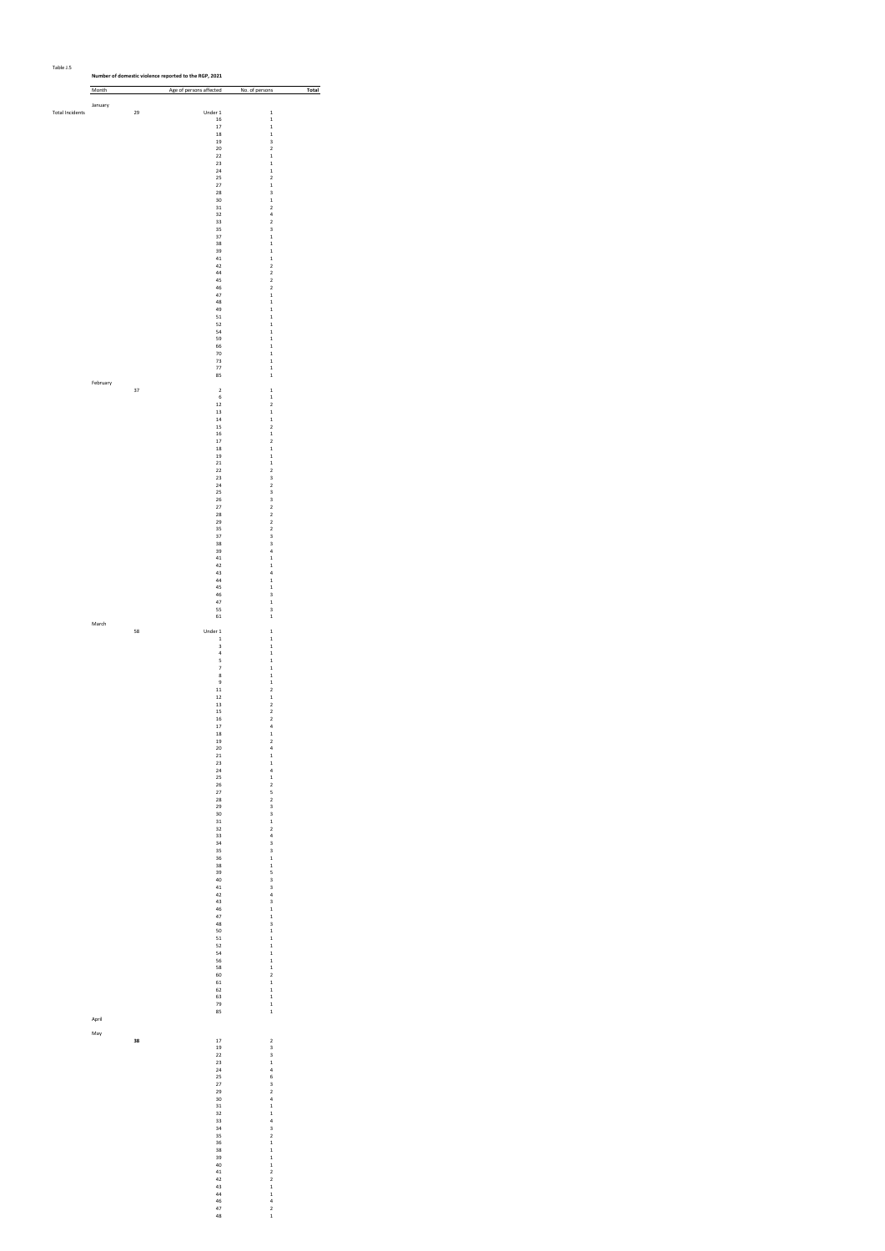| rapie 1.5              | Number of domestic violence reported to the RGP, 2021 |    |                                        |                                                    |       |  |  |  |  |
|------------------------|-------------------------------------------------------|----|----------------------------------------|----------------------------------------------------|-------|--|--|--|--|
|                        | Month                                                 |    | Age of persons affected No. of persons |                                                    | Total |  |  |  |  |
|                        | January                                               |    |                                        |                                                    |       |  |  |  |  |
| <b>Total Incidents</b> |                                                       | 29 | Under 1<br>$16\,$                      | $\,$ 1<br>$\mathbf 1$                              |       |  |  |  |  |
|                        |                                                       |    | $17\,$                                 | $\,$ 1                                             |       |  |  |  |  |
|                        |                                                       |    | $^{\rm 18}$<br>$19\,$                  | $\,$ 1<br>3                                        |       |  |  |  |  |
|                        |                                                       |    | $20\,$<br>$\bf{22}$                    | $\overline{\mathbf{c}}$<br>$\,$ 1                  |       |  |  |  |  |
|                        |                                                       |    | 23<br>$\bf{^{24}}$                     | $\,$ 1<br>$\mathbf 1$                              |       |  |  |  |  |
|                        |                                                       |    | 25<br>$\mathbf{27}$                    | $\overline{\mathbf{c}}$<br>$\,$ 1                  |       |  |  |  |  |
|                        |                                                       |    | 28<br>30                               | 3<br>$\,$ 1                                        |       |  |  |  |  |
|                        |                                                       |    | $31\,$<br>32                           | $\mathbf 2$<br>$\bf{4}$                            |       |  |  |  |  |
|                        |                                                       |    | 33                                     | $\overline{\mathbf{c}}$                            |       |  |  |  |  |
|                        |                                                       |    | 35<br>37                               | 3<br>$\,$ 1                                        |       |  |  |  |  |
|                        |                                                       |    | 38<br>39                               | $\,$ 1<br>$\mathbf 1$                              |       |  |  |  |  |
|                        |                                                       |    | $41\,$<br>42                           | $\,$ 1<br>$\mathbf 2$                              |       |  |  |  |  |
|                        |                                                       |    | 44<br>45                               | $\mathbf 2$<br>$\overline{\mathbf{c}}$             |       |  |  |  |  |
|                        |                                                       |    | 46<br>47                               | $\mathbf 2$<br>$\,$ 1                              |       |  |  |  |  |
|                        |                                                       |    | 48<br>49                               | $\mathbf 1$                                        |       |  |  |  |  |
|                        |                                                       |    | $51\,$                                 | $\,$ 1<br>$\,$ 1                                   |       |  |  |  |  |
|                        |                                                       |    | 52<br>54                               | $\mathbf 1$<br>$\mathbf 1$                         |       |  |  |  |  |
|                        |                                                       |    | 59<br>66                               | $\,$ 1<br>$\,$ 1                                   |       |  |  |  |  |
|                        |                                                       |    | 70<br>73                               | $\mathbf 1$<br>$\,$ 1                              |       |  |  |  |  |
|                        |                                                       |    | $77\,$<br>85                           | $\,$ 1<br>$\mathbf 1$                              |       |  |  |  |  |
|                        | February                                              | 37 | $\,2\,$                                | $\mathbf 1$                                        |       |  |  |  |  |
|                        |                                                       |    | $\,$ 6                                 | $\,$ 1                                             |       |  |  |  |  |
|                        |                                                       |    | $12\,$<br>$13\,$                       | $\overline{\mathbf{c}}$<br>$\,$ 1                  |       |  |  |  |  |
|                        |                                                       |    | $^{\rm 14}$<br>$15\,$                  | $\,$ 1<br>$\overline{\mathbf{c}}$                  |       |  |  |  |  |
|                        |                                                       |    | ${\bf 16}$<br>$17\,$                   | $\,$ 1<br>$\overline{\mathbf{c}}$                  |       |  |  |  |  |
|                        |                                                       |    | $\bf 18$<br>19                         | $\,$ 1<br>$\mathbf 1$                              |       |  |  |  |  |
|                        |                                                       |    | $_{\rm 21}$<br>$\bf{22}$               | $\mathbf 1$<br>$\mathbf 2$                         |       |  |  |  |  |
|                        |                                                       |    | $23\,$                                 | 3                                                  |       |  |  |  |  |
|                        |                                                       |    | $_{\rm 24}$<br>25                      | $\overline{\mathbf{c}}$<br>3                       |       |  |  |  |  |
|                        |                                                       |    | 26<br>$\bf 27$                         | 3<br>$\overline{\mathbf{c}}$                       |       |  |  |  |  |
|                        |                                                       |    | 28<br>29                               | $\overline{\mathbf{c}}$<br>$\overline{\mathbf{c}}$ |       |  |  |  |  |
|                        |                                                       |    | 35<br>37                               | $\mathbf 2$<br>3                                   |       |  |  |  |  |
|                        |                                                       |    | 38<br>39                               | 3<br>$\bf{4}$                                      |       |  |  |  |  |
|                        |                                                       |    | $^{\rm 41}$<br>42                      | $\,$ 1<br>$\,$ 1                                   |       |  |  |  |  |
|                        |                                                       |    | 43                                     | $\bf{4}$                                           |       |  |  |  |  |
|                        |                                                       |    | $44\,$<br>45                           | $\,$ 1<br>$\,$ 1                                   |       |  |  |  |  |
|                        |                                                       |    | 46<br>47                               | 3<br>$\,$ 1                                        |       |  |  |  |  |
|                        |                                                       |    | 55<br>61                               | 3<br>$\,$ 1                                        |       |  |  |  |  |
|                        | March                                                 | 58 | Under 1                                | $\,$ 1                                             |       |  |  |  |  |
|                        |                                                       |    | $\,$ 1<br>3                            | $\,$ 1<br>$\,$ 1                                   |       |  |  |  |  |
|                        |                                                       |    | $\bf{4}$                               | $\,$ 1                                             |       |  |  |  |  |
|                        |                                                       |    | 5<br>$\overline{\phantom{a}}$          | $\,$ 1<br>$\mathbf 1$                              |       |  |  |  |  |
|                        |                                                       |    | $\bf8$<br>$\,9$                        | $\,$ 1<br>$\,$ 1                                   |       |  |  |  |  |
|                        |                                                       |    | $\bf{11}$<br>$12\,$                    | $\overline{\mathbf{c}}$<br>$\,$ 1                  |       |  |  |  |  |
|                        |                                                       |    | 13<br>$15\,$                           | $\mathbf 2$<br>$\overline{\mathbf{c}}$             |       |  |  |  |  |
|                        |                                                       |    | ${\bf 16}$<br>17                       | $\overline{\mathbf{c}}$<br>$\ddot{a}$              |       |  |  |  |  |
|                        |                                                       |    | 18<br>19                               | $\mathbf{1}$<br>$\overline{\mathbf{c}}$            |       |  |  |  |  |
|                        |                                                       |    | 20                                     | $\ddot{a}$                                         |       |  |  |  |  |
|                        |                                                       |    | $_{\rm 21}$<br>23                      | $\mathbf 1$<br>$\,$ 1                              |       |  |  |  |  |
|                        |                                                       |    | 24<br>25                               | $\ddot{a}$<br>$\mathbf 1$                          |       |  |  |  |  |
|                        |                                                       |    | 26<br>27                               | $\frac{2}{5}$                                      |       |  |  |  |  |
|                        |                                                       |    | 28<br>29                               | $\overline{\mathbf{c}}$<br>3                       |       |  |  |  |  |
|                        |                                                       |    | 30<br>31                               | 3<br>$\mathbf 1$                                   |       |  |  |  |  |
|                        |                                                       |    | 32                                     | $\overline{\mathbf{c}}$                            |       |  |  |  |  |
|                        |                                                       |    | 33<br>34                               | $\frac{1}{3}$                                      |       |  |  |  |  |
|                        |                                                       |    | 35<br>36                               | 3<br>$\mathbf 1$                                   |       |  |  |  |  |
|                        |                                                       |    | 38<br>39                               | $\,$ 1<br>5                                        |       |  |  |  |  |
|                        |                                                       |    | 40<br>$^{\rm 41}$                      | 3                                                  |       |  |  |  |  |
|                        |                                                       |    | 42<br>43                               | $\frac{1}{4}$<br>3                                 |       |  |  |  |  |
|                        |                                                       |    | 46<br>47                               | $\mathbf 1$<br>$\,$ 1                              |       |  |  |  |  |
|                        |                                                       |    | 48                                     | 3                                                  |       |  |  |  |  |
|                        |                                                       |    | 50<br>51                               | $\,$ 1<br>$\mathbf 1$                              |       |  |  |  |  |
|                        |                                                       |    | 52<br>54                               | $\mathbf 1$<br>$\,$ 1                              |       |  |  |  |  |
|                        |                                                       |    | 56<br>58                               | $\mathbf 1$<br>$\,$ 1                              |       |  |  |  |  |
|                        |                                                       |    | 60<br>61                               | $\overline{\mathbf{c}}$<br>$\mathbf 1$             |       |  |  |  |  |
|                        |                                                       |    | 62                                     | $\mathbf 1$                                        |       |  |  |  |  |
|                        |                                                       |    | 63<br>79<br>85                         | $\mathbf 1$<br>$\mathbf 1$                         |       |  |  |  |  |
|                        | April                                                 |    |                                        | $\,$ 1                                             |       |  |  |  |  |
|                        | May                                                   |    |                                        |                                                    |       |  |  |  |  |
|                        |                                                       | 38 | 17<br>19                               | $\overline{\mathbf{c}}$<br>3                       |       |  |  |  |  |
|                        |                                                       |    | 22<br>23                               | 3<br>$\,$ 1                                        |       |  |  |  |  |
|                        |                                                       |    | $^{24}$<br>25                          | $\ddot{\phantom{a}}$<br>6                          |       |  |  |  |  |
|                        |                                                       |    | 27<br>29                               | 3                                                  |       |  |  |  |  |
|                        |                                                       |    | 30                                     | $\overline{\mathbf{c}}$<br>$\frac{1}{4}$           |       |  |  |  |  |
|                        |                                                       |    | 31<br>32                               | $\mathbf 1$                                        |       |  |  |  |  |
|                        |                                                       |    | 33<br>34                               | $\begin{array}{c} 4 \\ 3 \\ 2 \end{array}$         |       |  |  |  |  |
|                        |                                                       |    | 35<br>36                               | $\mathbf 1$                                        |       |  |  |  |  |
|                        |                                                       |    | 38<br>39                               | $\mathbf 1$<br>$\mathbf 1$                         |       |  |  |  |  |
|                        |                                                       |    | 40                                     | $\mathbf 1$                                        |       |  |  |  |  |
|                        |                                                       |    | $^{\rm 41}$<br>42                      | $\overline{\mathbf{c}}$<br>$\frac{1}{2}$           |       |  |  |  |  |
|                        |                                                       |    | 43<br>44                               | $\mathbf 1$                                        |       |  |  |  |  |
|                        |                                                       |    | 46<br>47                               | $\frac{4}{2}$                                      |       |  |  |  |  |
|                        |                                                       |    | 48                                     | $\mathbf 1$                                        |       |  |  |  |  |

Table J.5